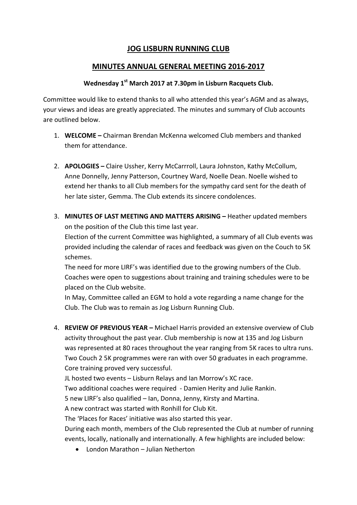# **JOG LISBURN RUNNING CLUB**

## **MINUTES ANNUAL GENERAL MEETING 2016-2017**

### **Wednesday 1st March 2017 at 7.30pm in Lisburn Racquets Club.**

Committee would like to extend thanks to all who attended this year's AGM and as always, your views and ideas are greatly appreciated. The minutes and summary of Club accounts are outlined below.

- 1. **WELCOME –** Chairman Brendan McKenna welcomed Club members and thanked them for attendance.
- 2. **APOLOGIES –** Claire Ussher, Kerry McCarrroll, Laura Johnston, Kathy McCollum, Anne Donnelly, Jenny Patterson, Courtney Ward, Noelle Dean. Noelle wished to extend her thanks to all Club members for the sympathy card sent for the death of her late sister, Gemma. The Club extends its sincere condolences.
- 3. **MINUTES OF LAST MEETING AND MATTERS ARISING –** Heather updated members on the position of the Club this time last year.

Election of the current Committee was highlighted, a summary of all Club events was provided including the calendar of races and feedback was given on the Couch to 5K schemes.

The need for more LIRF's was identified due to the growing numbers of the Club. Coaches were open to suggestions about training and training schedules were to be placed on the Club website.

In May, Committee called an EGM to hold a vote regarding a name change for the Club. The Club was to remain as Jog Lisburn Running Club.

4. **REVIEW OF PREVIOUS YEAR –** Michael Harris provided an extensive overview of Club activity throughout the past year. Club membership is now at 135 and Jog Lisburn was represented at 80 races throughout the year ranging from 5K races to ultra runs. Two Couch 2 5K programmes were ran with over 50 graduates in each programme. Core training proved very successful.

JL hosted two events – Lisburn Relays and Ian Morrow's XC race.

Two additional coaches were required - Damien Herity and Julie Rankin.

5 new LIRF's also qualified – Ian, Donna, Jenny, Kirsty and Martina.

A new contract was started with Ronhill for Club Kit.

The 'Places for Races' initiative was also started this year.

During each month, members of the Club represented the Club at number of running events, locally, nationally and internationally. A few highlights are included below:

• London Marathon – Julian Netherton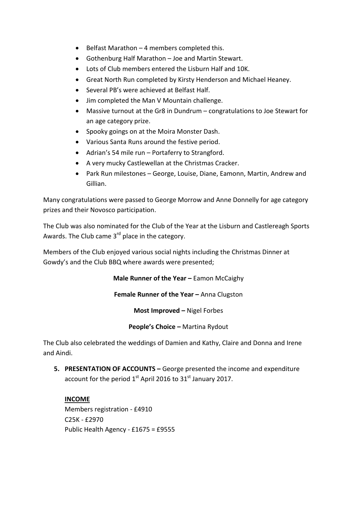- Belfast Marathon 4 members completed this.
- Gothenburg Half Marathon Joe and Martin Stewart.
- Lots of Club members entered the Lisburn Half and 10K.
- Great North Run completed by Kirsty Henderson and Michael Heaney.
- Several PB's were achieved at Belfast Half.
- Jim completed the Man V Mountain challenge.
- Massive turnout at the Gr8 in Dundrum congratulations to Joe Stewart for an age category prize.
- Spooky goings on at the Moira Monster Dash.
- Various Santa Runs around the festive period.
- Adrian's 54 mile run Portaferry to Strangford.
- A very mucky Castlewellan at the Christmas Cracker.
- Park Run milestones George, Louise, Diane, Eamonn, Martin, Andrew and Gillian.

Many congratulations were passed to George Morrow and Anne Donnelly for age category prizes and their Novosco participation.

The Club was also nominated for the Club of the Year at the Lisburn and Castlereagh Sports Awards. The Club came 3<sup>rd</sup> place in the category.

Members of the Club enjoyed various social nights including the Christmas Dinner at Gowdy's and the Club BBQ where awards were presented;

**Male Runner of the Year –** Eamon McCaighy

**Female Runner of the Year –** Anna Clugston

**Most Improved –** Nigel Forbes

**People's Choice –** Martina Rydout

The Club also celebrated the weddings of Damien and Kathy, Claire and Donna and Irene and Aindi.

**5. PRESENTATION OF ACCOUNTS –** George presented the income and expenditure account for the period  $1<sup>st</sup>$  April 2016 to 31 $<sup>st</sup>$  January 2017.</sup>

**INCOME** Members registration - £4910 C25K - £2970 Public Health Agency - £1675 = £9555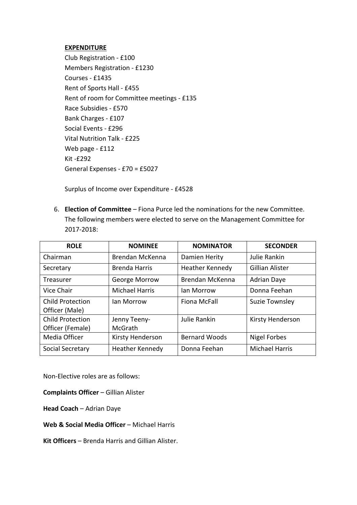#### **EXPENDITURE**

Club Registration - £100 Members Registration - £1230 Courses - £1435 Rent of Sports Hall - £455 Rent of room for Committee meetings - £135 Race Subsidies - £570 Bank Charges - £107 Social Events - £296 Vital Nutrition Talk - £225 Web page - £112 Kit -£292 General Expenses - £70 = £5027

Surplus of Income over Expenditure - £4528

6. **Election of Committee** – Fiona Purce led the nominations for the new Committee. The following members were elected to serve on the Management Committee for 2017-2018:

| <b>ROLE</b>             | <b>NOMINEE</b>        | <b>NOMINATOR</b>     | <b>SECONDER</b>        |
|-------------------------|-----------------------|----------------------|------------------------|
| Chairman                | Brendan McKenna       | Damien Herity        | Julie Rankin           |
| Secretary               | <b>Brenda Harris</b>  | Heather Kennedy      | <b>Gillian Alister</b> |
| Treasurer               | George Morrow         | Brendan McKenna      | <b>Adrian Daye</b>     |
| Vice Chair              | <b>Michael Harris</b> | lan Morrow           | Donna Feehan           |
| Child Protection        | lan Morrow            | <b>Fiona McFall</b>  | Suzie Townsley         |
| Officer (Male)          |                       |                      |                        |
| <b>Child Protection</b> | Jenny Teeny-          | Julie Rankin         | Kirsty Henderson       |
| Officer (Female)        | McGrath               |                      |                        |
| Media Officer           | Kirsty Henderson      | <b>Bernard Woods</b> | <b>Nigel Forbes</b>    |
| Social Secretary        | Heather Kennedy       | Donna Feehan         | <b>Michael Harris</b>  |

Non-Elective roles are as follows:

**Complaints Officer** – Gillian Alister

**Head Coach** – Adrian Daye

**Web & Social Media Officer** – Michael Harris

**Kit Officers** – Brenda Harris and Gillian Alister.